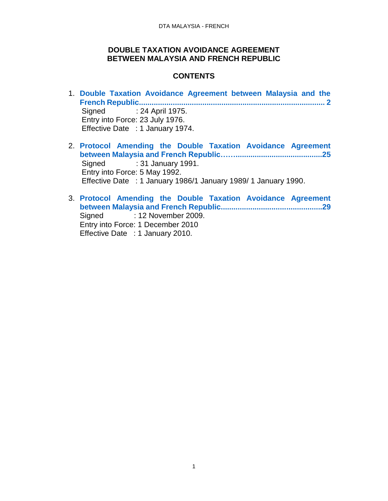### **DOUBLE TAXATION AVOIDANCE AGREEMENT BETWEEN MALAYSIA AND FRENCH REPUBLIC**

# **CONTENTS**

- 1. **[Double Taxation Avoidance Agreement between Malaysia and the](#page-1-0)  [French Republic........................................................................................](#page-1-0) 2** Signed : 24 April 1975. Entry into Force: 23 July 1976. Effective Date : 1 January 1974.
- 2. **[Protocol Amending the Double Taxation Avoidance Agreement](#page-24-0)  [between Malaysia and French Republic…….........................................25](#page-24-0)** Signed : 31 January 1991. Entry into Force: 5 May 1992. Effective Date : 1 January 1986/1 January 1989/ 1 January 1990.
- 3. **[Protocol Amending the Double Taxation Avoidance Agreement](#page-28-0) [between Malaysia and French Republic................................................29](#page-28-0)** Signed : 12 November 2009. Entry into Force: 1 December 2010 Effective Date : 1 January 2010.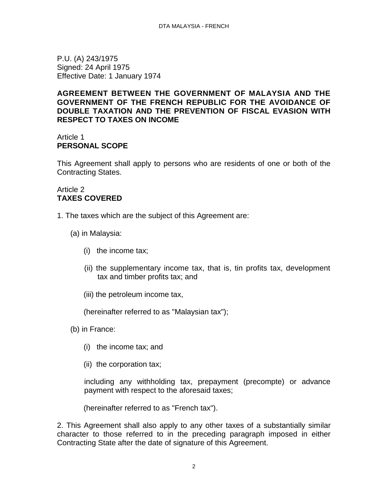<span id="page-1-0"></span>P.U. (A) 243/1975 Signed: 24 April 1975 Effective Date: 1 January 1974

### **AGREEMENT BETWEEN THE GOVERNMENT OF MALAYSIA AND THE GOVERNMENT OF THE FRENCH REPUBLIC FOR THE AVOIDANCE OF DOUBLE TAXATION AND THE PREVENTION OF FISCAL EVASION WITH RESPECT TO TAXES ON INCOME**

# Article 1 **PERSONAL SCOPE**

This Agreement shall apply to persons who are residents of one or both of the Contracting States.

# Article 2 **TAXES COVERED**

- 1. The taxes which are the subject of this Agreement are:
	- (a) in Malaysia:
		- (i) the income tax;
		- (ii) the supplementary income tax, that is, tin profits tax, development tax and timber profits tax; and
		- (iii) the petroleum income tax,

(hereinafter referred to as "Malaysian tax");

- (b) in France:
	- (i) the income tax; and
	- (ii) the corporation tax;

including any withholding tax, prepayment (precompte) or advance payment with respect to the aforesaid taxes;

(hereinafter referred to as "French tax").

2. This Agreement shall also apply to any other taxes of a substantially similar character to those referred to in the preceding paragraph imposed in either Contracting State after the date of signature of this Agreement.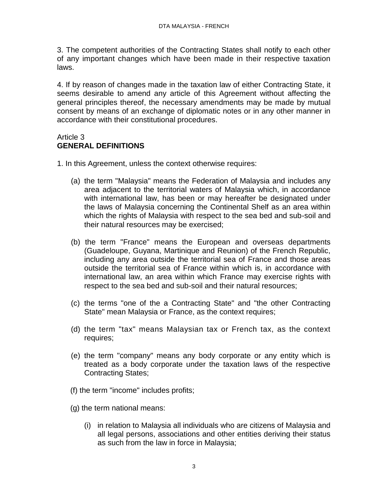3. The competent authorities of the Contracting States shall notify to each other of any important changes which have been made in their respective taxation laws.

4. If by reason of changes made in the taxation law of either Contracting State, it seems desirable to amend any article of this Agreement without affecting the general principles thereof, the necessary amendments may be made by mutual consent by means of an exchange of diplomatic notes or in any other manner in accordance with their constitutional procedures.

### Article 3 **GENERAL DEFINITIONS**

- 1. In this Agreement, unless the context otherwise requires:
	- (a) the term "Malaysia" means the Federation of Malaysia and includes any area adjacent to the territorial waters of Malaysia which, in accordance with international law, has been or may hereafter be designated under the laws of Malaysia concerning the Continental Shelf as an area within which the rights of Malaysia with respect to the sea bed and sub-soil and their natural resources may be exercised;
	- (b) the term "France" means the European and overseas departments (Guadeloupe, Guyana, Martinique and Reunion) of the French Republic, including any area outside the territorial sea of France and those areas outside the territorial sea of France within which is, in accordance with international law, an area within which France may exercise rights with respect to the sea bed and sub-soil and their natural resources;
	- (c) the terms "one of the a Contracting State" and "the other Contracting State" mean Malaysia or France, as the context requires;
	- (d) the term "tax" means Malaysian tax or French tax, as the context requires;
	- (e) the term "company" means any body corporate or any entity which is treated as a body corporate under the taxation laws of the respective Contracting States;
	- (f) the term "income" includes profits;
	- (g) the term national means:
		- (i) in relation to Malaysia all individuals who are citizens of Malaysia and all legal persons, associations and other entities deriving their status as such from the law in force in Malaysia;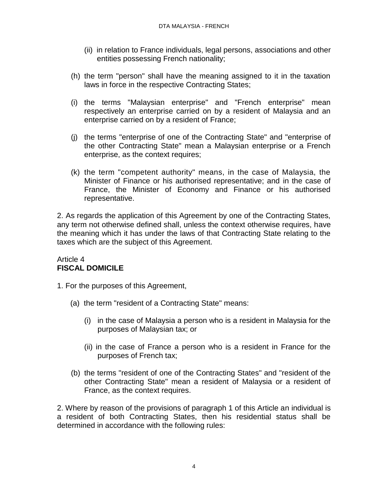- (ii) in relation to France individuals, legal persons, associations and other entities possessing French nationality;
- (h) the term "person" shall have the meaning assigned to it in the taxation laws in force in the respective Contracting States;
- (i) the terms "Malaysian enterprise" and "French enterprise" mean respectively an enterprise carried on by a resident of Malaysia and an enterprise carried on by a resident of France;
- (j) the terms "enterprise of one of the Contracting State" and "enterprise of the other Contracting State" mean a Malaysian enterprise or a French enterprise, as the context requires;
- (k) the term "competent authority" means, in the case of Malaysia, the Minister of Finance or his authorised representative; and in the case of France, the Minister of Economy and Finance or his authorised representative.

2. As regards the application of this Agreement by one of the Contracting States, any term not otherwise defined shall, unless the context otherwise requires, have the meaning which it has under the laws of that Contracting State relating to the taxes which are the subject of this Agreement.

### Article 4 **FISCAL DOMICILE**

1. For the purposes of this Agreement,

- (a) the term "resident of a Contracting State" means:
	- (i) in the case of Malaysia a person who is a resident in Malaysia for the purposes of Malaysian tax; or
	- (ii) in the case of France a person who is a resident in France for the purposes of French tax;
- (b) the terms "resident of one of the Contracting States" and "resident of the other Contracting State" mean a resident of Malaysia or a resident of France, as the context requires.

2. Where by reason of the provisions of paragraph 1 of this Article an individual is a resident of both Contracting States, then his residential status shall be determined in accordance with the following rules: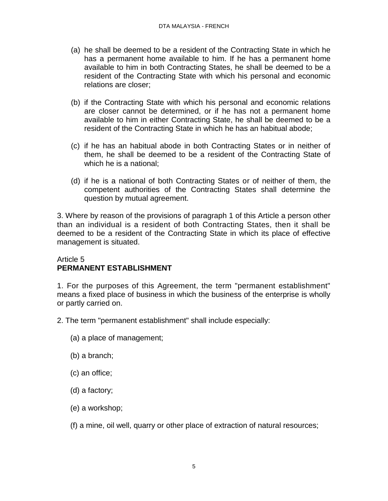- (a) he shall be deemed to be a resident of the Contracting State in which he has a permanent home available to him. If he has a permanent home available to him in both Contracting States, he shall be deemed to be a resident of the Contracting State with which his personal and economic relations are closer;
- (b) if the Contracting State with which his personal and economic relations are closer cannot be determined, or if he has not a permanent home available to him in either Contracting State, he shall be deemed to be a resident of the Contracting State in which he has an habitual abode;
- (c) if he has an habitual abode in both Contracting States or in neither of them, he shall be deemed to be a resident of the Contracting State of which he is a national;
- (d) if he is a national of both Contracting States or of neither of them, the competent authorities of the Contracting States shall determine the question by mutual agreement.

3. Where by reason of the provisions of paragraph 1 of this Article a person other than an individual is a resident of both Contracting States, then it shall be deemed to be a resident of the Contracting State in which its place of effective management is situated.

# Article 5 **PERMANENT ESTABLISHMENT**

1. For the purposes of this Agreement, the term "permanent establishment" means a fixed place of business in which the business of the enterprise is wholly or partly carried on.

- 2. The term "permanent establishment" shall include especially:
	- (a) a place of management;
	- (b) a branch;
	- (c) an office;
	- (d) a factory;
	- (e) a workshop;
	- (f) a mine, oil well, quarry or other place of extraction of natural resources;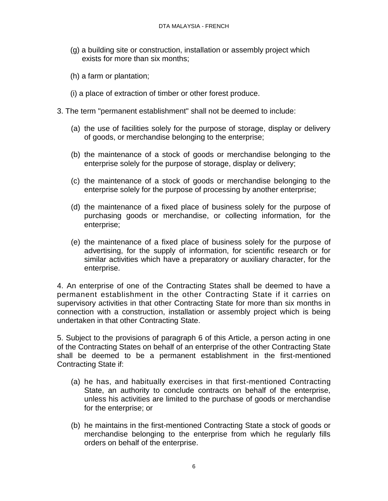- (g) a building site or construction, installation or assembly project which exists for more than six months;
- (h) a farm or plantation;
- (i) a place of extraction of timber or other forest produce.
- 3. The term "permanent establishment" shall not be deemed to include:
	- (a) the use of facilities solely for the purpose of storage, display or delivery of goods, or merchandise belonging to the enterprise;
	- (b) the maintenance of a stock of goods or merchandise belonging to the enterprise solely for the purpose of storage, display or delivery;
	- (c) the maintenance of a stock of goods or merchandise belonging to the enterprise solely for the purpose of processing by another enterprise;
	- (d) the maintenance of a fixed place of business solely for the purpose of purchasing goods or merchandise, or collecting information, for the enterprise;
	- (e) the maintenance of a fixed place of business solely for the purpose of advertising, for the supply of information, for scientific research or for similar activities which have a preparatory or auxiliary character, for the enterprise.

4. An enterprise of one of the Contracting States shall be deemed to have a permanent establishment in the other Contracting State if it carries on supervisory activities in that other Contracting State for more than six months in connection with a construction, installation or assembly project which is being undertaken in that other Contracting State.

5. Subject to the provisions of paragraph 6 of this Article, a person acting in one of the Contracting States on behalf of an enterprise of the other Contracting State shall be deemed to be a permanent establishment in the first-mentioned Contracting State if:

- (a) he has, and habitually exercises in that first-mentioned Contracting State, an authority to conclude contracts on behalf of the enterprise, unless his activities are limited to the purchase of goods or merchandise for the enterprise; or
- (b) he maintains in the first-mentioned Contracting State a stock of goods or merchandise belonging to the enterprise from which he regularly fills orders on behalf of the enterprise.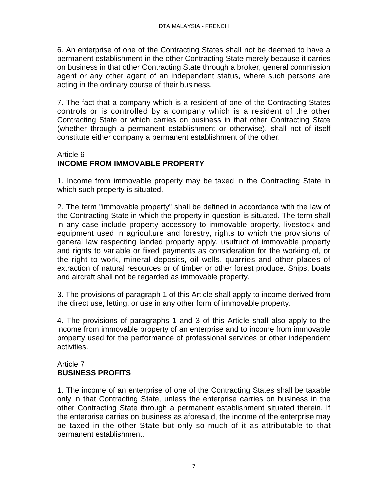6. An enterprise of one of the Contracting States shall not be deemed to have a permanent establishment in the other Contracting State merely because it carries on business in that other Contracting State through a broker, general commission agent or any other agent of an independent status, where such persons are acting in the ordinary course of their business.

7. The fact that a company which is a resident of one of the Contracting States controls or is controlled by a company which is a resident of the other Contracting State or which carries on business in that other Contracting State (whether through a permanent establishment or otherwise), shall not of itself constitute either company a permanent establishment of the other.

### Article 6 **INCOME FROM IMMOVABLE PROPERTY**

1. Income from immovable property may be taxed in the Contracting State in which such property is situated.

2. The term "immovable property" shall be defined in accordance with the law of the Contracting State in which the property in question is situated. The term shall in any case include property accessory to immovable property, livestock and equipment used in agriculture and forestry, rights to which the provisions of general law respecting landed property apply, usufruct of immovable property and rights to variable or fixed payments as consideration for the working of, or the right to work, mineral deposits, oil wells, quarries and other places of extraction of natural resources or of timber or other forest produce. Ships, boats and aircraft shall not be regarded as immovable property.

3. The provisions of paragraph 1 of this Article shall apply to income derived from the direct use, letting, or use in any other form of immovable property.

4. The provisions of paragraphs 1 and 3 of this Article shall also apply to the income from immovable property of an enterprise and to income from immovable property used for the performance of professional services or other independent activities.

# Article 7 **BUSINESS PROFITS**

1. The income of an enterprise of one of the Contracting States shall be taxable only in that Contracting State, unless the enterprise carries on business in the other Contracting State through a permanent establishment situated therein. If the enterprise carries on business as aforesaid, the income of the enterprise may be taxed in the other State but only so much of it as attributable to that permanent establishment.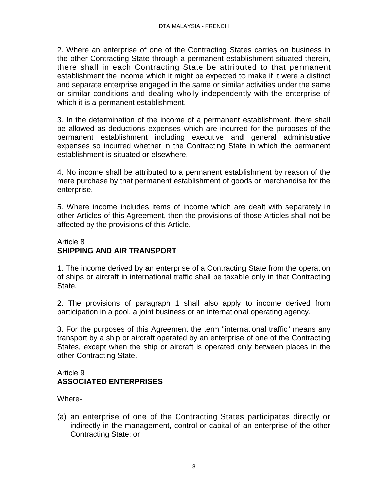2. Where an enterprise of one of the Contracting States carries on business in the other Contracting State through a permanent establishment situated therein, there shall in each Contracting State be attributed to that permanent establishment the income which it might be expected to make if it were a distinct and separate enterprise engaged in the same or similar activities under the same or similar conditions and dealing wholly independently with the enterprise of which it is a permanent establishment.

3. In the determination of the income of a permanent establishment, there shall be allowed as deductions expenses which are incurred for the purposes of the permanent establishment including executive and general administrative expenses so incurred whether in the Contracting State in which the permanent establishment is situated or elsewhere.

4. No income shall be attributed to a permanent establishment by reason of the mere purchase by that permanent establishment of goods or merchandise for the enterprise.

5. Where income includes items of income which are dealt with separately in other Articles of this Agreement, then the provisions of those Articles shall not be affected by the provisions of this Article.

### Article 8 **SHIPPING AND AIR TRANSPORT**

1. The income derived by an enterprise of a Contracting State from the operation of ships or aircraft in international traffic shall be taxable only in that Contracting State.

2. The provisions of paragraph 1 shall also apply to income derived from participation in a pool, a joint business or an international operating agency.

3. For the purposes of this Agreement the term "international traffic" means any transport by a ship or aircraft operated by an enterprise of one of the Contracting States, except when the ship or aircraft is operated only between places in the other Contracting State.

### Article 9 **ASSOCIATED ENTERPRISES**

Where-

(a) an enterprise of one of the Contracting States participates directly or indirectly in the management, control or capital of an enterprise of the other Contracting State; or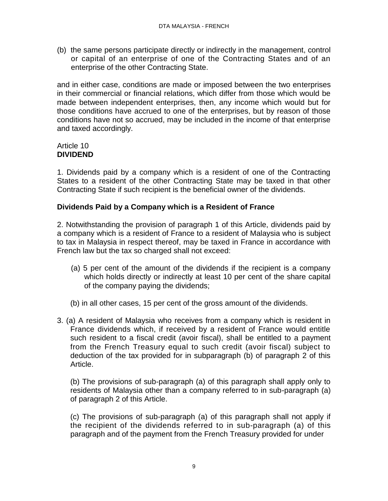(b) the same persons participate directly or indirectly in the management, control or capital of an enterprise of one of the Contracting States and of an enterprise of the other Contracting State.

and in either case, conditions are made or imposed between the two enterprises in their commercial or financial relations, which differ from those which would be made between independent enterprises, then, any income which would but for those conditions have accrued to one of the enterprises, but by reason of those conditions have not so accrued, may be included in the income of that enterprise and taxed accordingly.

# Article 10 **DIVIDEND**

1. Dividends paid by a company which is a resident of one of the Contracting States to a resident of the other Contracting State may be taxed in that other Contracting State if such recipient is the beneficial owner of the dividends.

# **Dividends Paid by a Company which is a Resident of France**

2. Notwithstanding the provision of paragraph 1 of this Article, dividends paid by a company which is a resident of France to a resident of Malaysia who is subject to tax in Malaysia in respect thereof, may be taxed in France in accordance with French law but the tax so charged shall not exceed:

- (a) 5 per cent of the amount of the dividends if the recipient is a company which holds directly or indirectly at least 10 per cent of the share capital of the company paying the dividends;
- (b) in all other cases, 15 per cent of the gross amount of the dividends.
- 3. (a) A resident of Malaysia who receives from a company which is resident in France dividends which, if received by a resident of France would entitle such resident to a fiscal credit (avoir fiscal), shall be entitled to a payment from the French Treasury equal to such credit (avoir fiscal) subject to deduction of the tax provided for in subparagraph (b) of paragraph 2 of this Article.

(b) The provisions of sub-paragraph (a) of this paragraph shall apply only to residents of Malaysia other than a company referred to in sub-paragraph (a) of paragraph 2 of this Article.

(c) The provisions of sub-paragraph (a) of this paragraph shall not apply if the recipient of the dividends referred to in sub-paragraph (a) of this paragraph and of the payment from the French Treasury provided for under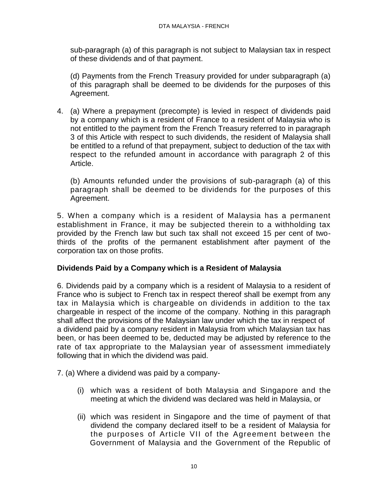sub-paragraph (a) of this paragraph is not subject to Malaysian tax in respect of these dividends and of that payment.

(d) Payments from the French Treasury provided for under subparagraph (a) of this paragraph shall be deemed to be dividends for the purposes of this Agreement.

4. (a) Where a prepayment (precompte) is levied in respect of dividends paid by a company which is a resident of France to a resident of Malaysia who is not entitled to the payment from the French Treasury referred to in paragraph 3 of this Article with respect to such dividends, the resident of Malaysia shall be entitled to a refund of that prepayment, subject to deduction of the tax with respect to the refunded amount in accordance with paragraph 2 of this Article.

(b) Amounts refunded under the provisions of sub-paragraph (a) of this paragraph shall be deemed to be dividends for the purposes of this Agreement.

5. When a company which is a resident of Malaysia has a permanent establishment in France, it may be subjected therein to a withholding tax provided by the French law but such tax shall not exceed 15 per cent of twothirds of the profits of the permanent establishment after payment of the corporation tax on those profits.

# **Dividends Paid by a Company which is a Resident of Malaysia**

6. Dividends paid by a company which is a resident of Malaysia to a resident of France who is subject to French tax in respect thereof shall be exempt from any tax in Malaysia which is chargeable on dividends in addition to the tax chargeable in respect of the income of the company. Nothing in this paragraph shall affect the provisions of the Malaysian law under which the tax in respect of a dividend paid by a company resident in Malaysia from which Malaysian tax has been, or has been deemed to be, deducted may be adjusted by reference to the rate of tax appropriate to the Malaysian year of assessment immediately following that in which the dividend was paid.

7. (a) Where a dividend was paid by a company-

- (i) which was a resident of both Malaysia and Singapore and the meeting at which the dividend was declared was held in Malaysia, or
- (ii) which was resident in Singapore and the time of payment of that dividend the company declared itself to be a resident of Malaysia for the purposes of Article VII of the Agreement between the Government of Malaysia and the Government of the Republic of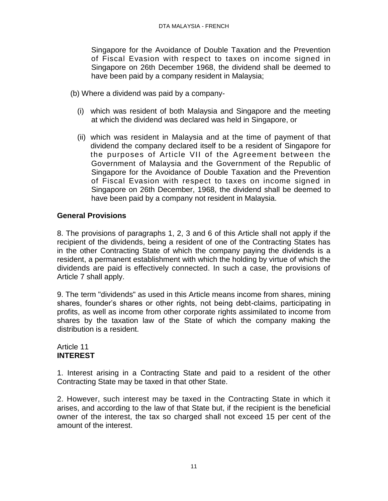Singapore for the Avoidance of Double Taxation and the Prevention of Fiscal Evasion with respect to taxes on income signed in Singapore on 26th December 1968, the dividend shall be deemed to have been paid by a company resident in Malaysia;

- (b) Where a dividend was paid by a company-
	- (i) which was resident of both Malaysia and Singapore and the meeting at which the dividend was declared was held in Singapore, or
	- (ii) which was resident in Malaysia and at the time of payment of that dividend the company declared itself to be a resident of Singapore for the purposes of Article VII of the Agreement between the Government of Malaysia and the Government of the Republic of Singapore for the Avoidance of Double Taxation and the Prevention of Fiscal Evasion with respect to taxes on income signed in Singapore on 26th December, 1968, the dividend shall be deemed to have been paid by a company not resident in Malaysia.

# **General Provisions**

8. The provisions of paragraphs 1, 2, 3 and 6 of this Article shall not apply if the recipient of the dividends, being a resident of one of the Contracting States has in the other Contracting State of which the company paying the dividends is a resident, a permanent establishment with which the holding by virtue of which the dividends are paid is effectively connected. In such a case, the provisions of Article 7 shall apply.

9. The term "dividends" as used in this Article means income from shares, mining shares, founder's shares or other rights, not being debt-claims, participating in profits, as well as income from other corporate rights assimilated to income from shares by the taxation law of the State of which the company making the distribution is a resident.

### Article 11 **INTEREST**

1. Interest arising in a Contracting State and paid to a resident of the other Contracting State may be taxed in that other State.

2. However, such interest may be taxed in the Contracting State in which it arises, and according to the law of that State but, if the recipient is the beneficial owner of the interest, the tax so charged shall not exceed 15 per cent of the amount of the interest.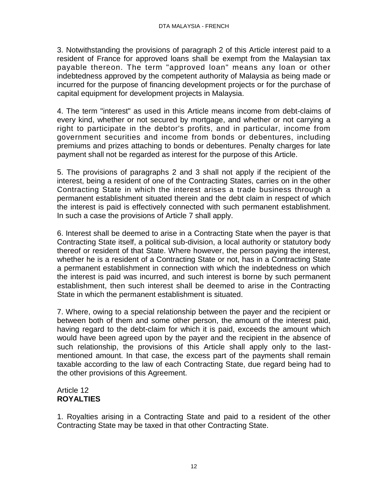3. Notwithstanding the provisions of paragraph 2 of this Article interest paid to a resident of France for approved loans shall be exempt from the Malaysian tax payable thereon. The term "approved loan" means any loan or other indebtedness approved by the competent authority of Malaysia as being made or incurred for the purpose of financing development projects or for the purchase of capital equipment for development projects in Malaysia.

4. The term "interest" as used in this Article means income from debt-claims of every kind, whether or not secured by mortgage, and whether or not carrying a right to participate in the debtor's profits, and in particular, income from government securities and income from bonds or debentures, including premiums and prizes attaching to bonds or debentures. Penalty charges for late payment shall not be regarded as interest for the purpose of this Article.

5. The provisions of paragraphs 2 and 3 shall not apply if the recipient of the interest, being a resident of one of the Contracting States, carries on in the other Contracting State in which the interest arises a trade business through a permanent establishment situated therein and the debt claim in respect of which the interest is paid is effectively connected with such permanent establishment. In such a case the provisions of Article 7 shall apply.

6. Interest shall be deemed to arise in a Contracting State when the payer is that Contracting State itself, a political sub-division, a local authority or statutory body thereof or resident of that State. Where however, the person paying the interest, whether he is a resident of a Contracting State or not, has in a Contracting State a permanent establishment in connection with which the indebtedness on which the interest is paid was incurred, and such interest is borne by such permanent establishment, then such interest shall be deemed to arise in the Contracting State in which the permanent establishment is situated.

7. Where, owing to a special relationship between the payer and the recipient or between both of them and some other person, the amount of the interest paid, having regard to the debt-claim for which it is paid, exceeds the amount which would have been agreed upon by the payer and the recipient in the absence of such relationship, the provisions of this Article shall apply only to the lastmentioned amount. In that case, the excess part of the payments shall remain taxable according to the law of each Contracting State, due regard being had to the other provisions of this Agreement.

# Article 12 **ROYALTIES**

1. Royalties arising in a Contracting State and paid to a resident of the other Contracting State may be taxed in that other Contracting State.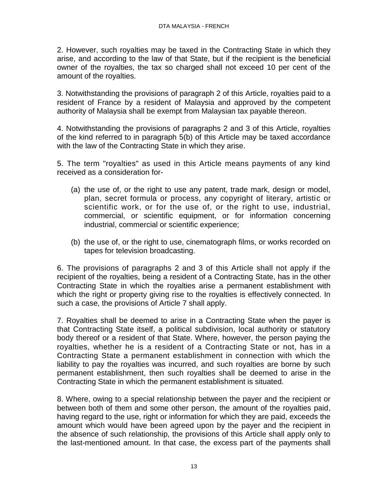2. However, such royalties may be taxed in the Contracting State in which they arise, and according to the law of that State, but if the recipient is the beneficial owner of the royalties, the tax so charged shall not exceed 10 per cent of the amount of the royalties.

3. Notwithstanding the provisions of paragraph 2 of this Article, royalties paid to a resident of France by a resident of Malaysia and approved by the competent authority of Malaysia shall be exempt from Malaysian tax payable thereon.

4. Notwithstanding the provisions of paragraphs 2 and 3 of this Article, royalties of the kind referred to in paragraph 5(b) of this Article may be taxed accordance with the law of the Contracting State in which they arise.

5. The term "royalties" as used in this Article means payments of any kind received as a consideration for-

- (a) the use of, or the right to use any patent, trade mark, design or model, plan, secret formula or process, any copyright of literary, artistic or scientific work, or for the use of, or the right to use, industrial, commercial, or scientific equipment, or for information concerning industrial, commercial or scientific experience;
- (b) the use of, or the right to use, cinematograph films, or works recorded on tapes for television broadcasting.

6. The provisions of paragraphs 2 and 3 of this Article shall not apply if the recipient of the royalties, being a resident of a Contracting State, has in the other Contracting State in which the royalties arise a permanent establishment with which the right or property giving rise to the royalties is effectively connected. In such a case, the provisions of Article 7 shall apply.

7. Royalties shall be deemed to arise in a Contracting State when the payer is that Contracting State itself, a political subdivision, local authority or statutory body thereof or a resident of that State. Where, however, the person paying the royalties, whether he is a resident of a Contracting State or not, has in a Contracting State a permanent establishment in connection with which the liability to pay the royalties was incurred, and such royalties are borne by such permanent establishment, then such royalties shall be deemed to arise in the Contracting State in which the permanent establishment is situated.

8. Where, owing to a special relationship between the payer and the recipient or between both of them and some other person, the amount of the royalties paid, having regard to the use, right or information for which they are paid, exceeds the amount which would have been agreed upon by the payer and the recipient in the absence of such relationship, the provisions of this Article shall apply only to the last-mentioned amount. In that case, the excess part of the payments shall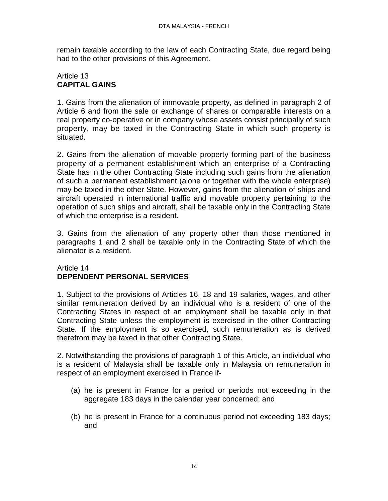remain taxable according to the law of each Contracting State, due regard being had to the other provisions of this Agreement.

### Article 13 **CAPITAL GAINS**

1. Gains from the alienation of immovable property, as defined in paragraph 2 of Article 6 and from the sale or exchange of shares or comparable interests on a real property co-operative or in company whose assets consist principally of such property, may be taxed in the Contracting State in which such property is situated.

2. Gains from the alienation of movable property forming part of the business property of a permanent establishment which an enterprise of a Contracting State has in the other Contracting State including such gains from the alienation of such a permanent establishment (alone or together with the whole enterprise) may be taxed in the other State. However, gains from the alienation of ships and aircraft operated in international traffic and movable property pertaining to the operation of such ships and aircraft, shall be taxable only in the Contracting State of which the enterprise is a resident.

3. Gains from the alienation of any property other than those mentioned in paragraphs 1 and 2 shall be taxable only in the Contracting State of which the alienator is a resident.

### Article 14 **DEPENDENT PERSONAL SERVICES**

1. Subject to the provisions of Articles 16, 18 and 19 salaries, wages, and other similar remuneration derived by an individual who is a resident of one of the Contracting States in respect of an employment shall be taxable only in that Contracting State unless the employment is exercised in the other Contracting State. If the employment is so exercised, such remuneration as is derived therefrom may be taxed in that other Contracting State.

2. Notwithstanding the provisions of paragraph 1 of this Article, an individual who is a resident of Malaysia shall be taxable only in Malaysia on remuneration in respect of an employment exercised in France if-

- (a) he is present in France for a period or periods not exceeding in the aggregate 183 days in the calendar year concerned; and
- (b) he is present in France for a continuous period not exceeding 183 days; and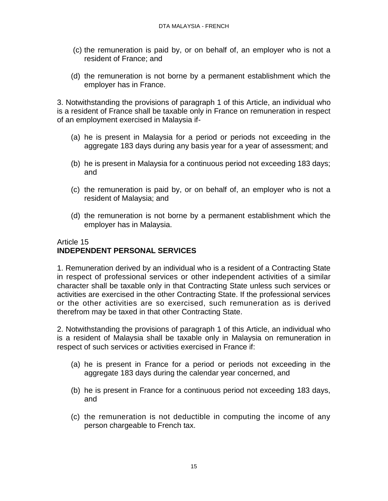- (c) the remuneration is paid by, or on behalf of, an employer who is not a resident of France; and
- (d) the remuneration is not borne by a permanent establishment which the employer has in France.

3. Notwithstanding the provisions of paragraph 1 of this Article, an individual who is a resident of France shall be taxable only in France on remuneration in respect of an employment exercised in Malaysia if-

- (a) he is present in Malaysia for a period or periods not exceeding in the aggregate 183 days during any basis year for a year of assessment; and
- (b) he is present in Malaysia for a continuous period not exceeding 183 days; and
- (c) the remuneration is paid by, or on behalf of, an employer who is not a resident of Malaysia; and
- (d) the remuneration is not borne by a permanent establishment which the employer has in Malaysia.

### Article 15 **INDEPENDENT PERSONAL SERVICES**

1. Remuneration derived by an individual who is a resident of a Contracting State in respect of professional services or other independent activities of a similar character shall be taxable only in that Contracting State unless such services or activities are exercised in the other Contracting State. If the professional services or the other activities are so exercised, such remuneration as is derived therefrom may be taxed in that other Contracting State.

2. Notwithstanding the provisions of paragraph 1 of this Article, an individual who is a resident of Malaysia shall be taxable only in Malaysia on remuneration in respect of such services or activities exercised in France if:

- (a) he is present in France for a period or periods not exceeding in the aggregate 183 days during the calendar year concerned, and
- (b) he is present in France for a continuous period not exceeding 183 days, and
- (c) the remuneration is not deductible in computing the income of any person chargeable to French tax.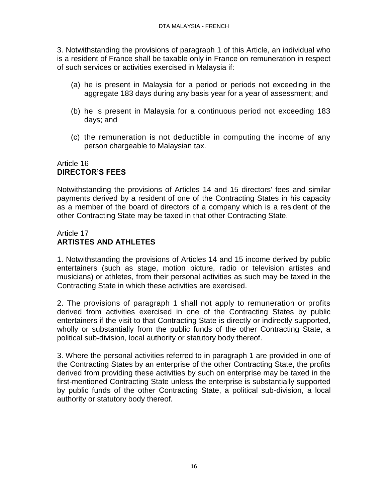3. Notwithstanding the provisions of paragraph 1 of this Article, an individual who is a resident of France shall be taxable only in France on remuneration in respect of such services or activities exercised in Malaysia if:

- (a) he is present in Malaysia for a period or periods not exceeding in the aggregate 183 days during any basis year for a year of assessment; and
- (b) he is present in Malaysia for a continuous period not exceeding 183 days; and
- (c) the remuneration is not deductible in computing the income of any person chargeable to Malaysian tax.

# Article 16 **DIRECTOR'S FEES**

Notwithstanding the provisions of Articles 14 and 15 directors' fees and similar payments derived by a resident of one of the Contracting States in his capacity as a member of the board of directors of a company which is a resident of the other Contracting State may be taxed in that other Contracting State.

# Article 17 **ARTISTES AND ATHLETES**

1. Notwithstanding the provisions of Articles 14 and 15 income derived by public entertainers (such as stage, motion picture, radio or television artistes and musicians) or athletes, from their personal activities as such may be taxed in the Contracting State in which these activities are exercised.

2. The provisions of paragraph 1 shall not apply to remuneration or profits derived from activities exercised in one of the Contracting States by public entertainers if the visit to that Contracting State is directly or indirectly supported, wholly or substantially from the public funds of the other Contracting State, a political sub-division, local authority or statutory body thereof.

3. Where the personal activities referred to in paragraph 1 are provided in one of the Contracting States by an enterprise of the other Contracting State, the profits derived from providing these activities by such on enterprise may be taxed in the first-mentioned Contracting State unless the enterprise is substantially supported by public funds of the other Contracting State, a political sub-division, a local authority or statutory body thereof.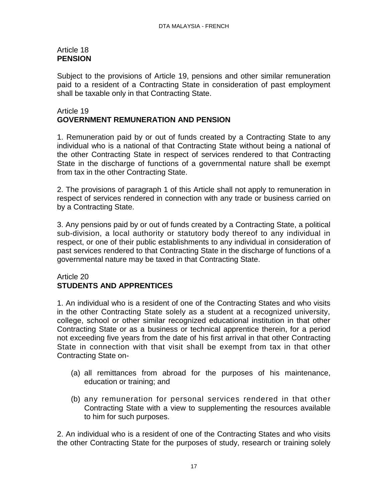#### Article 18 **PENSION**

Subject to the provisions of Article 19, pensions and other similar remuneration paid to a resident of a Contracting State in consideration of past employment shall be taxable only in that Contracting State.

### Article 19 **GOVERNMENT REMUNERATION AND PENSION**

1. Remuneration paid by or out of funds created by a Contracting State to any individual who is a national of that Contracting State without being a national of the other Contracting State in respect of services rendered to that Contracting State in the discharge of functions of a governmental nature shall be exempt from tax in the other Contracting State.

2. The provisions of paragraph 1 of this Article shall not apply to remuneration in respect of services rendered in connection with any trade or business carried on by a Contracting State.

3. Any pensions paid by or out of funds created by a Contracting State, a political sub-division, a local authority or statutory body thereof to any individual in respect, or one of their public establishments to any individual in consideration of past services rendered to that Contracting State in the discharge of functions of a governmental nature may be taxed in that Contracting State.

### Article 20 **STUDENTS AND APPRENTICES**

1. An individual who is a resident of one of the Contracting States and who visits in the other Contracting State solely as a student at a recognized university, college, school or other similar recognized educational institution in that other Contracting State or as a business or technical apprentice therein, for a period not exceeding five years from the date of his first arrival in that other Contracting State in connection with that visit shall be exempt from tax in that other Contracting State on-

- (a) all remittances from abroad for the purposes of his maintenance, education or training; and
- (b) any remuneration for personal services rendered in that other Contracting State with a view to supplementing the resources available to him for such purposes.

2. An individual who is a resident of one of the Contracting States and who visits the other Contracting State for the purposes of study, research or training solely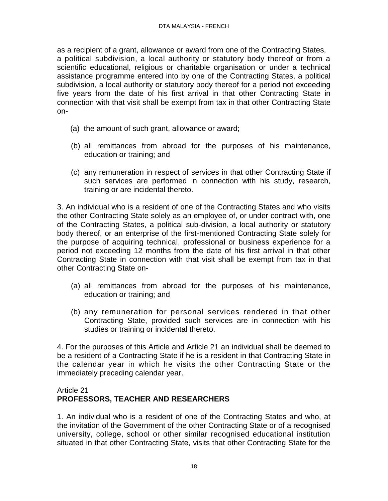as a recipient of a grant, allowance or award from one of the Contracting States, a political subdivision, a local authority or statutory body thereof or from a scientific educational, religious or charitable organisation or under a technical assistance programme entered into by one of the Contracting States, a political subdivision, a local authority or statutory body thereof for a period not exceeding five years from the date of his first arrival in that other Contracting State in connection with that visit shall be exempt from tax in that other Contracting State on-

- (a) the amount of such grant, allowance or award;
- (b) all remittances from abroad for the purposes of his maintenance, education or training; and
- (c) any remuneration in respect of services in that other Contracting State if such services are performed in connection with his study, research, training or are incidental thereto.

3. An individual who is a resident of one of the Contracting States and who visits the other Contracting State solely as an employee of, or under contract with, one of the Contracting States, a political sub-division, a local authority or statutory body thereof, or an enterprise of the first-mentioned Contracting State solely for the purpose of acquiring technical, professional or business experience for a period not exceeding 12 months from the date of his first arrival in that other Contracting State in connection with that visit shall be exempt from tax in that other Contracting State on-

- (a) all remittances from abroad for the purposes of his maintenance, education or training; and
- (b) any remuneration for personal services rendered in that other Contracting State, provided such services are in connection with his studies or training or incidental thereto.

4. For the purposes of this Article and Article 21 an individual shall be deemed to be a resident of a Contracting State if he is a resident in that Contracting State in the calendar year in which he visits the other Contracting State or the immediately preceding calendar year.

### Article 21 **PROFESSORS, TEACHER AND RESEARCHERS**

1. An individual who is a resident of one of the Contracting States and who, at the invitation of the Government of the other Contracting State or of a recognised university, college, school or other similar recognised educational institution situated in that other Contracting State, visits that other Contracting State for the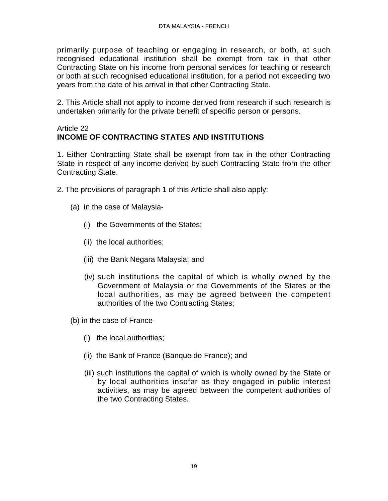primarily purpose of teaching or engaging in research, or both, at such recognised educational institution shall be exempt from tax in that other Contracting State on his income from personal services for teaching or research or both at such recognised educational institution, for a period not exceeding two years from the date of his arrival in that other Contracting State.

2. This Article shall not apply to income derived from research if such research is undertaken primarily for the private benefit of specific person or persons.

### Article 22 **INCOME OF CONTRACTING STATES AND INSTITUTIONS**

1. Either Contracting State shall be exempt from tax in the other Contracting State in respect of any income derived by such Contracting State from the other Contracting State.

- 2. The provisions of paragraph 1 of this Article shall also apply:
	- (a) in the case of Malaysia-
		- (i) the Governments of the States;
		- (ii) the local authorities;
		- (iii) the Bank Negara Malaysia; and
		- (iv) such institutions the capital of which is wholly owned by the Government of Malaysia or the Governments of the States or the local authorities, as may be agreed between the competent authorities of the two Contracting States;
	- (b) in the case of France-
		- (i) the local authorities;
		- (ii) the Bank of France (Banque de France); and
		- (iii) such institutions the capital of which is wholly owned by the State or by local authorities insofar as they engaged in public interest activities, as may be agreed between the competent authorities of the two Contracting States.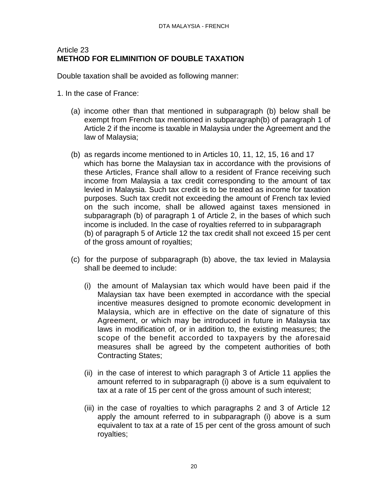### Article 23 **METHOD FOR ELIMINITION OF DOUBLE TAXATION**

Double taxation shall be avoided as following manner:

1. In the case of France:

- (a) income other than that mentioned in subparagraph (b) below shall be exempt from French tax mentioned in subparagraph(b) of paragraph 1 of Article 2 if the income is taxable in Malaysia under the Agreement and the law of Malaysia;
- (b) as regards income mentioned to in Articles 10, 11, 12, 15, 16 and 17 which has borne the Malaysian tax in accordance with the provisions of these Articles, France shall allow to a resident of France receiving such income from Malaysia a tax credit corresponding to the amount of tax levied in Malaysia. Such tax credit is to be treated as income for taxation purposes. Such tax credit not exceeding the amount of French tax levied on the such income, shall be allowed against taxes mensioned in subparagraph (b) of paragraph 1 of Article 2, in the bases of which such income is included. In the case of royalties referred to in subparagraph (b) of paragraph 5 of Article 12 the tax credit shall not exceed 15 per cent of the gross amount of royalties;
- (c) for the purpose of subparagraph (b) above, the tax levied in Malaysia shall be deemed to include:
	- (i) the amount of Malaysian tax which would have been paid if the Malaysian tax have been exempted in accordance with the special incentive measures designed to promote economic development in Malaysia, which are in effective on the date of signature of this Agreement, or which may be introduced in future in Malaysia tax laws in modification of, or in addition to, the existing measures; the scope of the benefit accorded to taxpayers by the aforesaid measures shall be agreed by the competent authorities of both Contracting States;
	- (ii) in the case of interest to which paragraph 3 of Article 11 applies the amount referred to in subparagraph (i) above is a sum equivalent to tax at a rate of 15 per cent of the gross amount of such interest;
	- (iii) in the case of royalties to which paragraphs 2 and 3 of Article 12 apply the amount referred to in subparagraph (i) above is a sum equivalent to tax at a rate of 15 per cent of the gross amount of such royalties;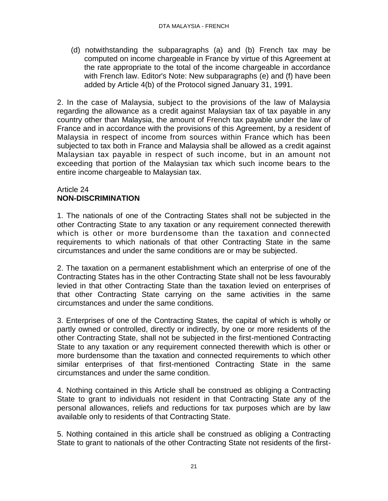(d) notwithstanding the subparagraphs (a) and (b) French tax may be computed on income chargeable in France by virtue of this Agreement at the rate appropriate to the total of the income chargeable in accordance with French law. Editor's Note: New subparagraphs (e) and (f) have been added by Article 4(b) of the Protocol signed January 31, 1991.

2. In the case of Malaysia, subject to the provisions of the law of Malaysia regarding the allowance as a credit against Malaysian tax of tax payable in any country other than Malaysia, the amount of French tax payable under the law of France and in accordance with the provisions of this Agreement, by a resident of Malaysia in respect of income from sources within France which has been subjected to tax both in France and Malaysia shall be allowed as a credit against Malaysian tax payable in respect of such income, but in an amount not exceeding that portion of the Malaysian tax which such income bears to the entire income chargeable to Malaysian tax.

## Article 24 **NON-DISCRIMINATION**

1. The nationals of one of the Contracting States shall not be subjected in the other Contracting State to any taxation or any requirement connected therewith which is other or more burdensome than the taxation and connected requirements to which nationals of that other Contracting State in the same circumstances and under the same conditions are or may be subjected.

2. The taxation on a permanent establishment which an enterprise of one of the Contracting States has in the other Contracting State shall not be less favourably levied in that other Contracting State than the taxation levied on enterprises of that other Contracting State carrying on the same activities in the same circumstances and under the same conditions.

3. Enterprises of one of the Contracting States, the capital of which is wholly or partly owned or controlled, directly or indirectly, by one or more residents of the other Contracting State, shall not be subjected in the first-mentioned Contracting State to any taxation or any requirement connected therewith which is other or more burdensome than the taxation and connected requirements to which other similar enterprises of that first-mentioned Contracting State in the same circumstances and under the same condition.

4. Nothing contained in this Article shall be construed as obliging a Contracting State to grant to individuals not resident in that Contracting State any of the personal allowances, reliefs and reductions for tax purposes which are by law available only to residents of that Contracting State.

5. Nothing contained in this article shall be construed as obliging a Contracting State to grant to nationals of the other Contracting State not residents of the first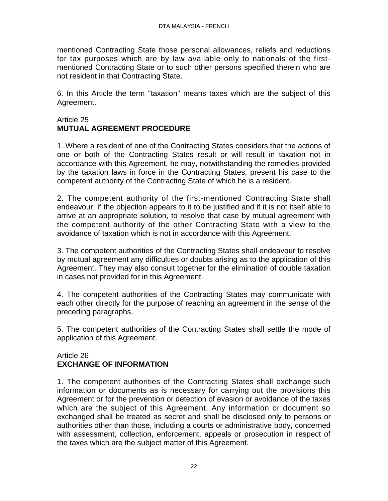mentioned Contracting State those personal allowances, reliefs and reductions for tax purposes which are by law available only to nationals of the firstmentioned Contracting State or to such other persons specified therein who are not resident in that Contracting State.

6. In this Article the term "taxation" means taxes which are the subject of this Agreement.

### Article 25 **MUTUAL AGREEMENT PROCEDURE**

1. Where a resident of one of the Contracting States considers that the actions of one or both of the Contracting States result or will result in taxation not in accordance with this Agreement, he may, notwithstanding the remedies provided by the taxation laws in force in the Contracting States, present his case to the competent authority of the Contracting State of which he is a resident.

2. The competent authority of the first-mentioned Contracting State shall endeavour, if the objection appears to it to be justified and if it is not itself able to arrive at an appropriate solution, to resolve that case by mutual agreement with the competent authority of the other Contracting State with a view to the avoidance of taxation which is not in accordance with this Agreement.

3. The competent authorities of the Contracting States shall endeavour to resolve by mutual agreement any difficulties or doubts arising as to the application of this Agreement. They may also consult together for the elimination of double taxation in cases not provided for in this Agreement.

4. The competent authorities of the Contracting States may communicate with each other directly for the purpose of reaching an agreement in the sense of the preceding paragraphs.

5. The competent authorities of the Contracting States shall settle the mode of application of this Agreement.

### Article 26 **EXCHANGE OF INFORMATION**

1. The competent authorities of the Contracting States shall exchange such information or documents as is necessary for carrying out the provisions this Agreement or for the prevention or detection of evasion or avoidance of the taxes which are the subject of this Agreement. Any information or document so exchanged shall be treated as secret and shall be disclosed only to persons or authorities other than those, including a courts or administrative body, concerned with assessment, collection, enforcement, appeals or prosecution in respect of the taxes which are the subject matter of this Agreement.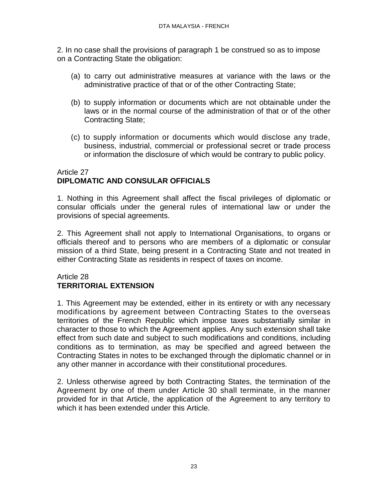2. In no case shall the provisions of paragraph 1 be construed so as to impose on a Contracting State the obligation:

- (a) to carry out administrative measures at variance with the laws or the administrative practice of that or of the other Contracting State;
- (b) to supply information or documents which are not obtainable under the laws or in the normal course of the administration of that or of the other Contracting State;
- (c) to supply information or documents which would disclose any trade, business, industrial, commercial or professional secret or trade process or information the disclosure of which would be contrary to public policy.

### Article 27 **DIPLOMATIC AND CONSULAR OFFICIALS**

1. Nothing in this Agreement shall affect the fiscal privileges of diplomatic or consular officials under the general rules of international law or under the provisions of special agreements.

2. This Agreement shall not apply to International Organisations, to organs or officials thereof and to persons who are members of a diplomatic or consular mission of a third State, being present in a Contracting State and not treated in either Contracting State as residents in respect of taxes on income.

### Article 28 **TERRITORIAL EXTENSION**

1. This Agreement may be extended, either in its entirety or with any necessary modifications by agreement between Contracting States to the overseas territories of the French Republic which impose taxes substantially similar in character to those to which the Agreement applies. Any such extension shall take effect from such date and subject to such modifications and conditions, including conditions as to termination, as may be specified and agreed between the Contracting States in notes to be exchanged through the diplomatic channel or in any other manner in accordance with their constitutional procedures.

2. Unless otherwise agreed by both Contracting States, the termination of the Agreement by one of them under Article 30 shall terminate, in the manner provided for in that Article, the application of the Agreement to any territory to which it has been extended under this Article.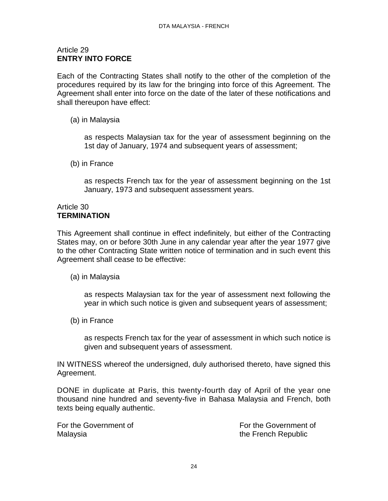# Article 29 **ENTRY INTO FORCE**

Each of the Contracting States shall notify to the other of the completion of the procedures required by its law for the bringing into force of this Agreement. The Agreement shall enter into force on the date of the later of these notifications and shall thereupon have effect:

(a) in Malaysia

as respects Malaysian tax for the year of assessment beginning on the 1st day of January, 1974 and subsequent years of assessment;

(b) in France

as respects French tax for the year of assessment beginning on the 1st January, 1973 and subsequent assessment years.

#### Article 30 **TERMINATION**

This Agreement shall continue in effect indefinitely, but either of the Contracting States may, on or before 30th June in any calendar year after the year 1977 give to the other Contracting State written notice of termination and in such event this Agreement shall cease to be effective:

(a) in Malaysia

as respects Malaysian tax for the year of assessment next following the year in which such notice is given and subsequent years of assessment;

(b) in France

as respects French tax for the year of assessment in which such notice is given and subsequent years of assessment.

IN WITNESS whereof the undersigned, duly authorised thereto, have signed this Agreement.

DONE in duplicate at Paris, this twenty-fourth day of April of the year one thousand nine hundred and seventy-five in Bahasa Malaysia and French, both texts being equally authentic.

Malaysia the French Republic

For the Government of **For the Government of** For the Government of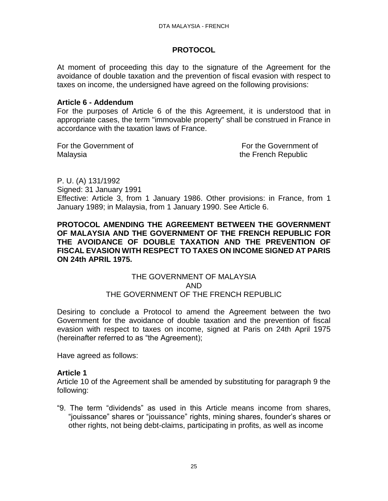### **PROTOCOL**

At moment of proceeding this day to the signature of the Agreement for the avoidance of double taxation and the prevention of fiscal evasion with respect to taxes on income, the undersigned have agreed on the following provisions:

#### **Article 6 - Addendum**

For the purposes of Article 6 of the this Agreement, it is understood that in appropriate cases, the term "immovable property" shall be construed in France in accordance with the taxation laws of France.

Malaysia the French Republic

For the Government of **For the Government of** For the Government of

P. U. (A) 131/1992 Signed: 31 January 1991 Effective: Article 3, from 1 January 1986. Other provisions: in France, from 1 January 1989; in Malaysia, from 1 January 1990. See Article 6.

<span id="page-24-0"></span>**PROTOCOL AMENDING THE AGREEMENT BETWEEN THE GOVERNMENT OF MALAYSIA AND THE GOVERNMENT OF THE FRENCH REPUBLIC FOR THE AVOIDANCE OF DOUBLE TAXATION AND THE PREVENTION OF FISCAL EVASION WITH RESPECT TO TAXES ON INCOME SIGNED AT PARIS ON 24th APRIL 1975.** 

#### THE GOVERNMENT OF MALAYSIA AND THE GOVERNMENT OF THE FRENCH REPUBLIC

Desiring to conclude a Protocol to amend the Agreement between the two Government for the avoidance of double taxation and the prevention of fiscal evasion with respect to taxes on income, signed at Paris on 24th April 1975 (hereinafter referred to as "the Agreement);

Have agreed as follows:

### **Article 1**

Article 10 of the Agreement shall be amended by substituting for paragraph 9 the following:

"9. The term "dividends" as used in this Article means income from shares, "jouissance" shares or "jouissance" rights, mining shares, founder's shares or other rights, not being debt-claims, participating in profits, as well as income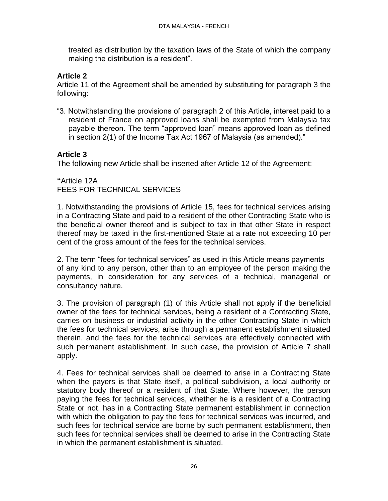treated as distribution by the taxation laws of the State of which the company making the distribution is a resident".

### **Article 2**

Article 11 of the Agreement shall be amended by substituting for paragraph 3 the following:

"3. Notwithstanding the provisions of paragraph 2 of this Article, interest paid to a resident of France on approved loans shall be exempted from Malaysia tax payable thereon. The term "approved loan" means approved loan as defined in section 2(1) of the Income Tax Act 1967 of Malaysia (as amended)."

# **Article 3**

The following new Article shall be inserted after Article 12 of the Agreement:

**"**Article 12A FEES FOR TECHNICAL SERVICES

1. Notwithstanding the provisions of Article 15, fees for technical services arising in a Contracting State and paid to a resident of the other Contracting State who is the beneficial owner thereof and is subject to tax in that other State in respect thereof may be taxed in the first-mentioned State at a rate not exceeding 10 per cent of the gross amount of the fees for the technical services.

2. The term "fees for technical services" as used in this Article means payments of any kind to any person, other than to an employee of the person making the payments, in consideration for any services of a technical, managerial or consultancy nature.

3. The provision of paragraph (1) of this Article shall not apply if the beneficial owner of the fees for technical services, being a resident of a Contracting State, carries on business or industrial activity in the other Contracting State in which the fees for technical services, arise through a permanent establishment situated therein, and the fees for the technical services are effectively connected with such permanent establishment. In such case, the provision of Article 7 shall apply.

4. Fees for technical services shall be deemed to arise in a Contracting State when the payers is that State itself, a political subdivision, a local authority or statutory body thereof or a resident of that State. Where however, the person paying the fees for technical services, whether he is a resident of a Contracting State or not, has in a Contracting State permanent establishment in connection with which the obligation to pay the fees for technical services was incurred, and such fees for technical service are borne by such permanent establishment, then such fees for technical services shall be deemed to arise in the Contracting State in which the permanent establishment is situated.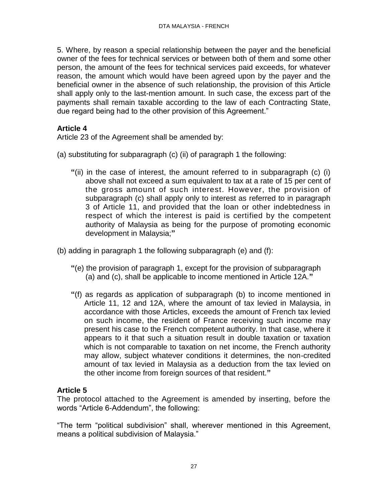5. Where, by reason a special relationship between the payer and the beneficial owner of the fees for technical services or between both of them and some other person, the amount of the fees for technical services paid exceeds, for whatever reason, the amount which would have been agreed upon by the payer and the beneficial owner in the absence of such relationship, the provision of this Article shall apply only to the last-mention amount. In such case, the excess part of the payments shall remain taxable according to the law of each Contracting State, due regard being had to the other provision of this Agreement."

## **Article 4**

Article 23 of the Agreement shall be amended by:

- (a) substituting for subparagraph (c) (ii) of paragraph 1 the following:
	- **"**(ii) in the case of interest, the amount referred to in subparagraph (c) (i) above shall not exceed a sum equivalent to tax at a rate of 15 per cent of the gross amount of such interest. However, the provision of subparagraph (c) shall apply only to interest as referred to in paragraph 3 of Article 11, and provided that the loan or other indebtedness in respect of which the interest is paid is certified by the competent authority of Malaysia as being for the purpose of promoting economic development in Malaysia;**"**
- (b) adding in paragraph 1 the following subparagraph (e) and (f):
	- **"**(e) the provision of paragraph 1, except for the provision of subparagraph (a) and (c), shall be applicable to income mentioned in Article 12A.**"**
	- **"**(f) as regards as application of subparagraph (b) to income mentioned in Article 11, 12 and 12A, where the amount of tax levied in Malaysia, in accordance with those Articles, exceeds the amount of French tax levied on such income, the resident of France receiving such income may present his case to the French competent authority. In that case, where it appears to it that such a situation result in double taxation or taxation which is not comparable to taxation on net income, the French authority may allow, subject whatever conditions it determines, the non-credited amount of tax levied in Malaysia as a deduction from the tax levied on the other income from foreign sources of that resident.**"**

# **Article 5**

The protocol attached to the Agreement is amended by inserting, before the words "Article 6-Addendum", the following:

"The term "political subdivision" shall, wherever mentioned in this Agreement, means a political subdivision of Malaysia."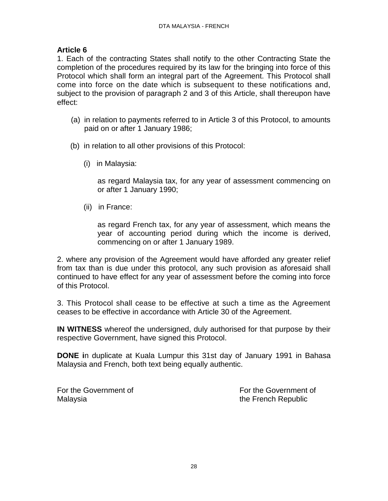#### **Article 6**

1. Each of the contracting States shall notify to the other Contracting State the completion of the procedures required by its law for the bringing into force of this Protocol which shall form an integral part of the Agreement. This Protocol shall come into force on the date which is subsequent to these notifications and, subject to the provision of paragraph 2 and 3 of this Article, shall thereupon have effect:

- (a) in relation to payments referred to in Article 3 of this Protocol, to amounts paid on or after 1 January 1986;
- (b) in relation to all other provisions of this Protocol:
	- (i) in Malaysia:

as regard Malaysia tax, for any year of assessment commencing on or after 1 January 1990;

(ii) in France:

as regard French tax, for any year of assessment, which means the year of accounting period during which the income is derived, commencing on or after 1 January 1989.

2. where any provision of the Agreement would have afforded any greater relief from tax than is due under this protocol, any such provision as aforesaid shall continued to have effect for any year of assessment before the coming into force of this Protocol.

3. This Protocol shall cease to be effective at such a time as the Agreement ceases to be effective in accordance with Article 30 of the Agreement.

**IN WITNESS** whereof the undersigned, duly authorised for that purpose by their respective Government, have signed this Protocol.

**DONE i**n duplicate at Kuala Lumpur this 31st day of January 1991 in Bahasa Malaysia and French, both text being equally authentic.

Malaysia the French Republic

For the Government of **For the Government of** For the Government of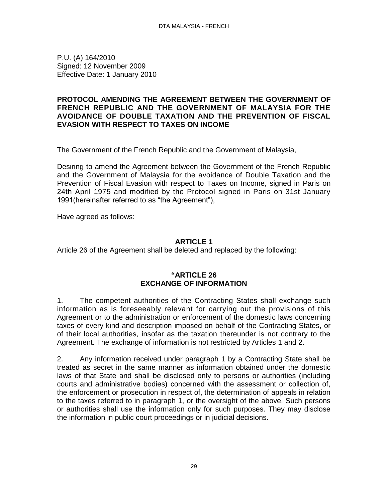P.U. (A) 164/2010 Signed: 12 November 2009 Effective Date: 1 January 2010

#### <span id="page-28-0"></span>**PROTOCOL AMENDING THE AGREEMENT BETWEEN THE GOVERNMENT OF FRENCH REPUBLIC AND THE GOVERNMENT OF MALAYSIA FOR THE AVOIDANCE OF DOUBLE TAXATION AND THE PREVENTION OF FISCAL EVASION WITH RESPECT TO TAXES ON INCOME**

The Government of the French Republic and the Government of Malaysia,

Desiring to amend the Agreement between the Government of the French Republic and the Government of Malaysia for the avoidance of Double Taxation and the Prevention of Fiscal Evasion with respect to Taxes on Income, signed in Paris on 24th April 1975 and modified by the Protocol signed in Paris on 31st January 1991(hereinafter referred to as "the Agreement"),

Have agreed as follows:

### **ARTICLE 1**

Article 26 of the Agreement shall be deleted and replaced by the following:

#### **"ARTICLE 26 EXCHANGE OF INFORMATION**

1. The competent authorities of the Contracting States shall exchange such information as is foreseeably relevant for carrying out the provisions of this Agreement or to the administration or enforcement of the domestic laws concerning taxes of every kind and description imposed on behalf of the Contracting States, or of their local authorities, insofar as the taxation thereunder is not contrary to the Agreement. The exchange of information is not restricted by Articles 1 and 2.

2. Any information received under paragraph 1 by a Contracting State shall be treated as secret in the same manner as information obtained under the domestic laws of that State and shall be disclosed only to persons or authorities (including courts and administrative bodies) concerned with the assessment or collection of, the enforcement or prosecution in respect of, the determination of appeals in relation to the taxes referred to in paragraph 1, or the oversight of the above. Such persons or authorities shall use the information only for such purposes. They may disclose the information in public court proceedings or in judicial decisions.